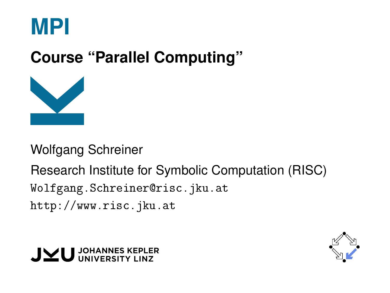

# **Course "Parallel Computing"**



Wolfgang Schreiner

Research Institute for Symbolic Computation (RISC) [Wolfgang.Schreiner@risc.jku.at](mailto:Wolfgang.Schreiner@risc.jku.at) <http://www.risc.jku.at>



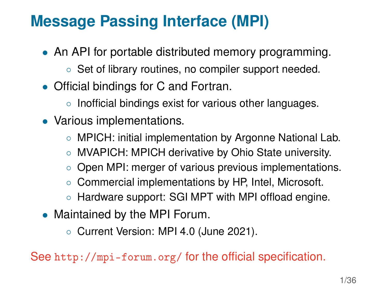## **Message Passing Interface (MPI)**

- An API for portable distributed memory programming.
	- Set of library routines, no compiler support needed.
- Official bindings for C and Fortran.
	- Inofficial bindings exist for various other languages.
- Various implementations.
	- MPICH: initial implementation by Argonne National Lab.
	- MVAPICH: MPICH derivative by Ohio State university.
	- Open MPI: merger of various previous implementations.
	- Commercial implementations by HP, Intel, Microsoft.
	- Hardware support: SGI MPT with MPI offload engine.
- Maintained by the MPI Forum.
	- Current Version: MPI 4.0 (June 2021).

See <http://mpi-forum.org/> for the official specification.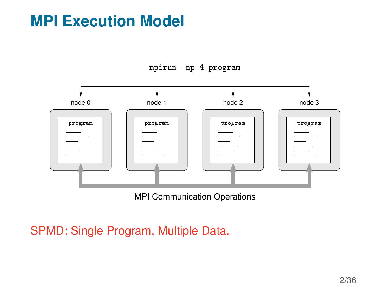## **MPI Execution Model**



MPI Communication Operations

SPMD: Single Program, Multiple Data.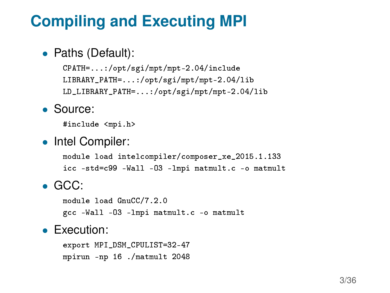## **Compiling and Executing MPI**

#### • Paths (Default):

CPATH=...:/opt/sgi/mpt/mpt-2.04/include LIBRARY\_PATH=...:/opt/sgi/mpt/mpt-2.04/lib LD\_LIBRARY\_PATH=...:/opt/sgi/mpt/mpt-2.04/lib

• Source:

#include <mpi.h>

• Intel Compiler:

module load intelcompiler/composer\_xe\_2015.1.133 icc -std=c99 -Wall -O3 -lmpi matmult.c -o matmult

• GCC:

module load GnuCC/7.2.0 gcc -Wall -O3 -lmpi matmult.c -o matmult

#### • Execution:

export MPI\_DSM\_CPULIST=32-47 mpirun -np 16 ./matmult 2048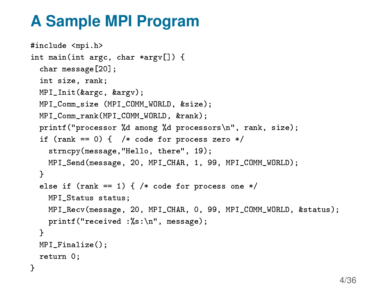## **A Sample MPI Program**

}

```
#include <mpi.h>
int main(int argc, char *argv[]) {
 char message[20];
 int size, rank;
 MPI_Init(&argc, &argv);
 MPI_Comm_size (MPI_COMM_WORLD, &size);
 MPI_Comm_rank(MPI_COMM_WORLD, &rank);
 printf("processor %d among %d processors\n", rank, size);
 if (rank == 0) { /* code for process zero */strncpy(message,"Hello, there", 19);
   MPI_Send(message, 20, MPI_CHAR, 1, 99, MPI_COMM_WORLD);
 }
 else if (rank == 1) { /* code for process one */
   MPI_Status status;
   MPI_Recv(message, 20, MPI_CHAR, 0, 99, MPI_COMM_WORLD, &status);
   printf("received :%s:\n", message);
 }
 MPI Finalize():
 return 0;
```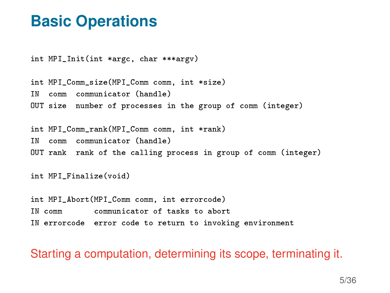## **Basic Operations**

int MPI\_Init(int \*argc, char \*\*\*argv)

int MPI Comm\_size(MPI\_Comm\_comm, int \*size) IN comm communicator (handle) OUT size number of processes in the group of comm (integer)

int MPI Comm\_rank(MPI\_Comm\_comm, int \*rank) IN comm communicator (handle) OUT rank rank of the calling process in group of comm (integer)

int MPI\_Finalize(void)

int MPI Abort(MPI Comm comm, int errorcode) IN comm communicator of tasks to abort IN errorcode error code to return to invoking environment

Starting a computation, determining its scope, terminating it.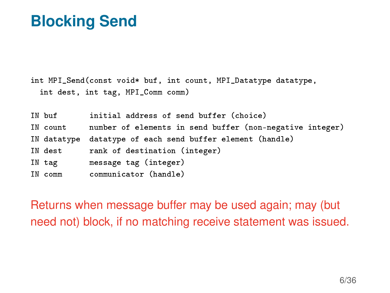## **Blocking Send**

int MPI\_Send(const void\* buf, int count, MPI\_Datatype datatype, int dest, int tag, MPI\_Comm comm)

IN buf initial address of send buffer (choice) IN count number of elements in send buffer (non-negative integer) IN datatype datatype of each send buffer element (handle) IN dest rank of destination (integer) IN tag message tag (integer) IN comm communicator (handle)

Returns when message buffer may be used again; may (but need not) block, if no matching receive statement was issued.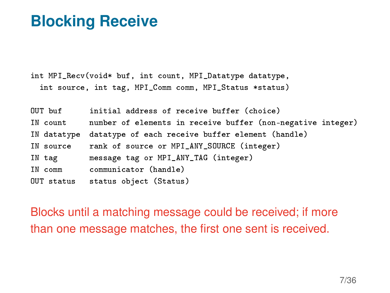## **Blocking Receive**

int MPI\_Recv(void\* buf, int count, MPI\_Datatype datatype, int source, int tag, MPI\_Comm comm, MPI\_Status \*status)

| OUT buf    | initial address of receive buffer (choice)                   |
|------------|--------------------------------------------------------------|
| IN count   | number of elements in receive buffer (non-negative integer)  |
|            | IN datatype datatype of each receive buffer element (handle) |
| IN source  | rank of source or MPI_ANY_SOURCE (integer)                   |
| IN tag     | message tag or MPI_ANY_TAG (integer)                         |
| IN comm    | communicator (handle)                                        |
| OUT status | status object (Status)                                       |

Blocks until a matching message could be received; if more than one message matches, the first one sent is received.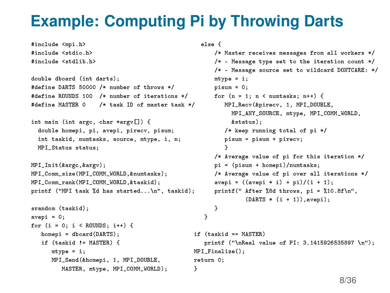## **Example: Computing Pi by Throwing Darts**

}

```
#include <stdio.h>
#include <stdlib.h>
double dboard (int darts);
#define DARTS 50000 /* number of throws */
#define ROUNDS 100 /* number of iterations */
#define MASTER 0 /* task ID of master task */
int main (int argc, char *argv[]) {
 double homepi, pi, avepi, pirecv, pisum;
 int taskid, numtasks, source, mtype, i, n;
 MPI_Status status;
MPI Init(&argc.&argv);
MPI_Comm_size(MPI_COMM_WORLD,&numtasks);
MPI_Comm_rank(MPI_COMM_WORLD,&taskid);
printf ("MPI task %d has started...\n", taskid);
srandom (taskid);
avepi = 0;
for (i = 0; i < ROUNDS; i++) {
   homepi = dboard(DARTS);
  if (taskid != MASTER) {
     mtype = i;
     MPI_Send(&homepi, 1, MPI_DOUBLE,
         MASTER, mtype, MPI_COMM_WORLD);
```
#include <mpi.h>

```
else {
```

```
/* Master receives messages from all workers */
      /* - Message type set to the iteration count */
      /* - Message source set to wildcard DONTCARE: */
      mtype = i;
      pisum = 0;
      for (n = 1; n < numtasks; n+1 {
         MPI_Recv(&pirecv, 1, MPI_DOUBLE,
           MPI_ANY_SOURCE, mtype, MPI_COMM_WORLD,
           &status);
         /* keep running total of pi */
         pisum = pisum + pirecv;
          }
      /* Average value of pi for this iteration */
      pi = (pisum + homepi)/numtasks;
      /* Average value of pi over all iterations */
      avepi = ((\text{avepi} * i) + \text{pi}) / (i + 1);printf(" After %8d throws, pi = %10.8f\n",
               (DARTS * (i + 1)), avepi);
      }
   }
if (taskid == MASTER)
   printf ("\nReal value of PI: 3.1415926535897 \n");
MPI Finalize();
return 0;
```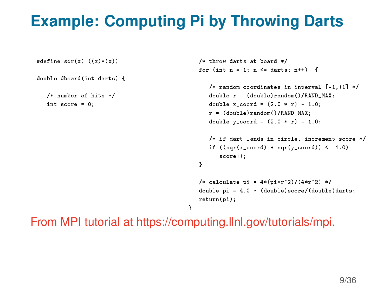# **Example: Computing Pi by Throwing Darts**

```
#define sqr(x) ((x)*(x))double dboard(int darts) {
   /* number of hits */
  int score = 0;
                                                    /* throw darts at board */
                                                    for (int n = 1; n \leq 1 darts; n+1) {
                                                       /* random coordinates in interval [-1,+1] */
                                                       double r = (double) random() / RAND MAX;double x_coord = (2.0 * r) - 1.0;
                                                       r = (double) random() /RAND MAX;
                                                       double y coord = (2.0 * r) - 1.0;
                                                       /* if dart lands in circle, increment score */
                                                       if ((\text{sar}(x \text{ coord}) + \text{sar}(y \text{ coord})) \leq 1.0)score++;
                                                    }
                                                    /* calculate pi = 4*(pi*r^2)/(4*r^2) */
                                                    double pi = 4.0 * (double) score/(double) darts;return(pi);
                                                }
```
From MPI tutorial at https://computing.llnl.gov/tutorials/mpi.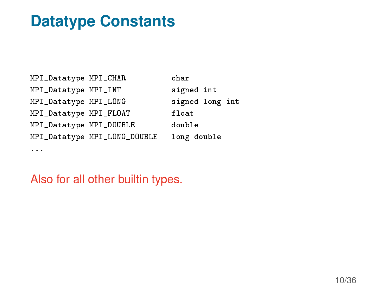## **Datatype Constants**

MPI\_Datatype MPI\_CHAR char MPI\_Datatype MPI\_INT signed int MPI\_Datatype MPI\_LONG signed long int MPI\_Datatype MPI\_FLOAT float MPI\_Datatype MPI\_DOUBLE double MPI\_Datatype MPI\_LONG\_DOUBLE long double ...

Also for all other builtin types.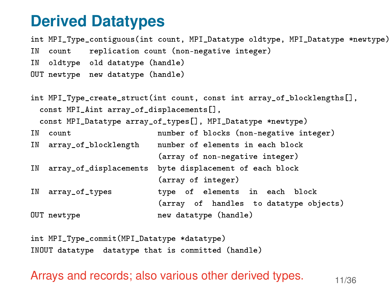#### **Derived Datatypes**

int MPI\_Type\_contiguous(int count, MPI\_Datatype oldtype, MPI\_Datatype \*newtype) IN count replication count (non-negative integer) IN oldtype old datatype (handle) OUT newtype new datatype (handle)

int MPI\_Type\_create\_struct(int count, const int array\_of\_blocklengths[], const MPI Aint array of displacements<sup>[]</sup>. const MPI\_Datatype array\_of\_types[], MPI\_Datatype \*newtype) IN count number of blocks (non-negative integer) IN array\_of\_blocklength number of elements in each block (array of non-negative integer) IN array\_of\_displacements byte displacement of each block (array of integer) IN array\_of\_types type of elements in each block (array of handles to datatype objects) OUT newtype new datatype (handle)

int MPI\_Type\_commit(MPI\_Datatype \*datatype) INOUT datatype datatype that is committed (handle)

Arrays and records; also various other derived types.  $11/36$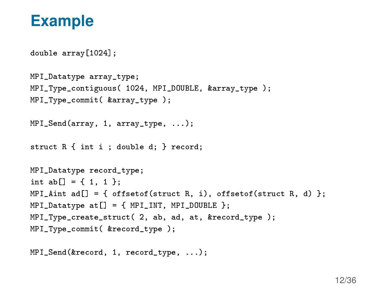### **Example**

```
double array[1024];
```

```
MPI_Datatype array_type;
MPI_Type_contiguous( 1024, MPI_DOUBLE, &array_type );
MPI Type commit ( &array type ):
MPI Send(array, 1, array type, ...);
```

```
struct R { int i ; double d; } record;
```

```
MPI Datatype record type:
int ab[] = { 1, 1 };
MPI Aint ad[] = \{ offsetof(struct R, i), offsetof(struct R, d) \};
MPI_{{\text{}}\_} at [] = \{ MPI_{{\text{}}\_} MPI_DOUBLE };MPI_Type_create_struct( 2, ab, ad, at, &record_type );
MPI Type commit( &record type ):
```

```
MPI_Send(&record, 1, record_type, ...);
```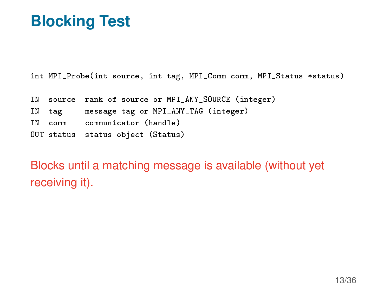## **Blocking Test**

int MPI\_Probe(int source, int tag, MPI\_Comm comm, MPI\_Status \*status)

|  | IN source rank of source or MPI_ANY_SOURCE (integer) |
|--|------------------------------------------------------|
|  | IN tag message tag or MPI_ANY_TAG (integer)          |
|  | IN comm communicator (handle)                        |
|  | OUT status status object (Status)                    |

Blocks until a matching message is available (without yet receiving it).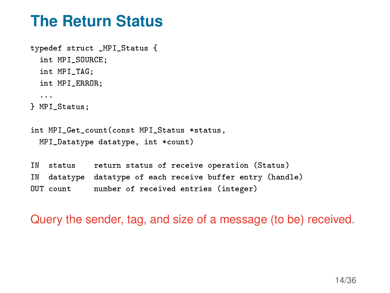## **The Return Status**

```
typedef struct _MPI_Status {
 int MPI_SOURCE:
 int MPI_TAG;
 int MPI_ERROR;
  ...
} MPI_Status;
int MPI Get count (const MPI Status *status,
 MPI Datatype datatype, int *count)
IN status return status of receive operation (Status)
IN datatype datatype of each receive buffer entry (handle)
OUT count number of received entries (integer)
```
Query the sender, tag, and size of a message (to be) received.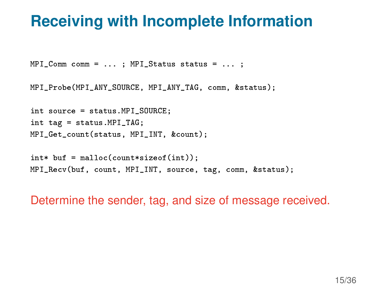## **Receiving with Incomplete Information**

MPI\_Comm comm = ... ; MPI\_Status status = ... ;

MPI\_Probe(MPI\_ANY\_SOURCE, MPI\_ANY\_TAG, comm, &status);

int source = status.MPI\_SOURCE; int tag = status.MPI\_TAG; MPI\_Get\_count(status, MPI\_INT, &count);

 $int*$  buf = malloc(count\*sizeof(int)); MPI\_Recv(buf, count, MPI\_INT, source, tag, comm, &status);

Determine the sender, tag, and size of message received.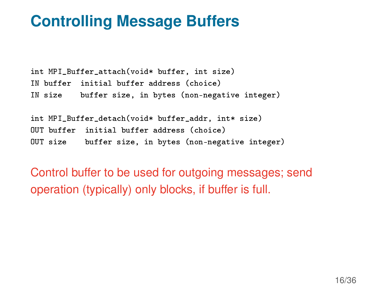## **Controlling Message Buffers**

int MPI\_Buffer\_attach(void\* buffer, int size) IN buffer initial buffer address (choice) IN size buffer size, in bytes (non-negative integer)

```
int MPI_Buffer_detach(void* buffer_addr, int* size)
OUT buffer initial buffer address (choice)
OUT size buffer size, in bytes (non-negative integer)
```
Control buffer to be used for outgoing messages; send operation (typically) only blocks, if buffer is full.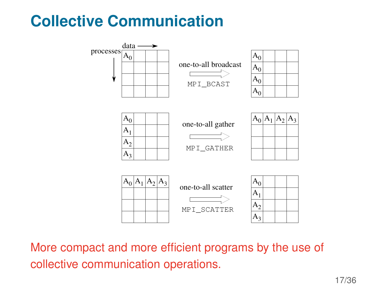# **Collective Communication**



More compact and more efficient programs by the use of collective communication operations.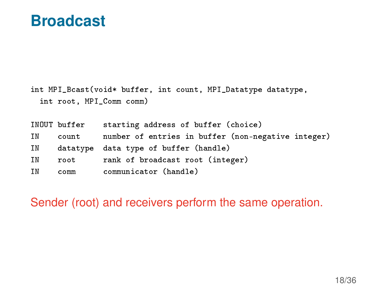#### **Broadcast**

int MPI\_Bcast(void\* buffer, int count, MPI\_Datatype datatype, int root, MPI\_Comm comm)

|    | INOUT buffer | starting address of buffer (choice)                |
|----|--------------|----------------------------------------------------|
| ΙN | count        | number of entries in buffer (non-negative integer) |
| IN |              | datatype data type of buffer (handle)              |
| IN | root         | rank of broadcast root (integer)                   |
| ΙN | comm         | communicator (handle)                              |

Sender (root) and receivers perform the same operation.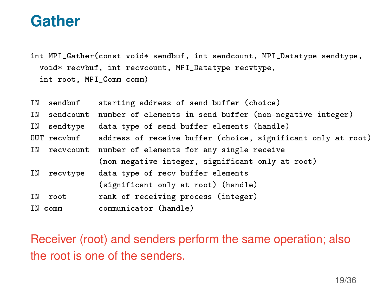### **Gather**

int MPI\_Gather(const void\* sendbuf, int sendcount, MPI\_Datatype sendtype, void\* recvbuf, int recvcount, MPI\_Datatype recvtype, int root, MPI\_Comm comm)

| IN sendbuf  | starting address of send buffer (choice)                                 |
|-------------|--------------------------------------------------------------------------|
|             | IN sendcount number of elements in send buffer (non-negative integer)    |
| IN sendtype | data type of send buffer elements (handle)                               |
|             | OUT recvbuf address of receive buffer (choice, significant only at root) |
|             | IN recvcount number of elements for any single receive                   |
|             | (non-negative integer, significant only at root)                         |
| IN recvtype | data type of recv buffer elements                                        |
|             | (significant only at root) (handle)                                      |
| IN root     | rank of receiving process (integer)                                      |
| IN comm     | communicator (handle)                                                    |

Receiver (root) and senders perform the same operation; also the root is one of the senders.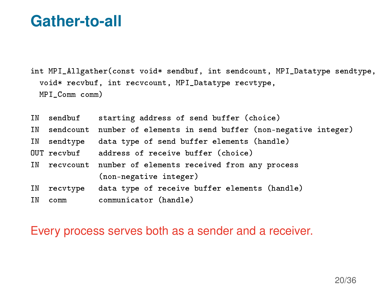## **Gather-to-all**

int MPI\_Allgather(const void\* sendbuf, int sendcount, MPI\_Datatype sendtype, void\* recvbuf, int recvcount, MPI\_Datatype recvtype, MPI\_Comm comm)

| IN sendbuf  | starting address of send buffer (choice)                              |
|-------------|-----------------------------------------------------------------------|
|             | IN sendcount number of elements in send buffer (non-negative integer) |
| IN sendtype | data type of send buffer elements (handle)                            |
|             | OUT recvbuf address of receive buffer (choice)                        |
|             | IN recvcount number of elements received from any process             |
|             | (non-negative integer)                                                |
|             | IN recvtype data type of receive buffer elements (handle)             |
| IN comm     | communicator (handle)                                                 |

#### Every process serves both as a sender and a receiver.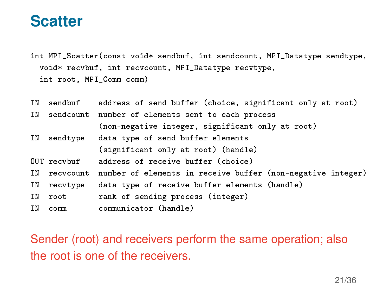#### **Scatter**

int MPI\_Scatter(const void\* sendbuf, int sendcount, MPI\_Datatype sendtype, void\* recvbuf, int recvcount, MPI\_Datatype recvtype, int root, MPI\_Comm comm)

|             | IN sendbuf address of send buffer (choice, significant only at root)     |
|-------------|--------------------------------------------------------------------------|
|             | IN sendcount number of elements sent to each process                     |
|             | (non-negative integer, significant only at root)                         |
| IN sendtype | data type of send buffer elements                                        |
|             | (significant only at root) (handle)                                      |
| OUT recybuf | address of receive buffer (choice)                                       |
|             | IN recvcount number of elements in receive buffer (non-negative integer) |
| IN recvtype | data type of receive buffer elements (handle)                            |
| IN root     | rank of sending process (integer)                                        |
| IN comm     | communicator (handle)                                                    |

Sender (root) and receivers perform the same operation; also the root is one of the receivers.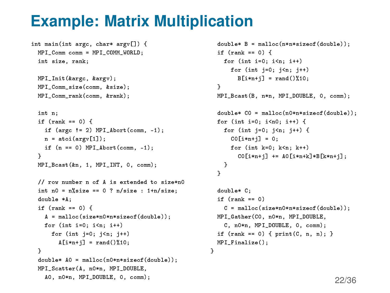## **Example: Matrix Multiplication**

```
int main(int argc, char* argv[]) {
 MPI_Comm comm = MPI_COMM_WORLD;
 int size, rank;
```

```
MPI_Init(&argc, &argv);
MPI_Comm_size(comm, &size);
MPI Comm_rank(comm, &rank);
```

```
int n;
if (rank == 0) {
  if (\text{arg } := 2) MPI_Abort(\text{comm}, -1);
  n = atoi(argv[1]);if (n == 0) MPI Abort(comm, -1);
}
MPI_Bcast(&n, 1, MPI_INT, 0, comm);
```
// row number n of A is extended to size\*n0 int n $0 = n\%$ size == 0 ? n/size : 1+n/size; double \*A; if (rank == 0) { A = malloc(size\*n0\*n\*sizeof(double)); for (int  $i=0$ ;  $i \le n$ ;  $i+1$ ) for (int  $i=0$ ;  $i \leq n$ ;  $i++$ )  $A[i*n+i] = rand()$  %10; } double\* A0 = malloc(n0\*n\*sizeof(double)); MPI\_Scatter(A, n0\*n, MPI\_DOUBLE, A0, n0\*n, MPI\_DOUBLE, 0, comm);

```
double* B = malloc(n*n*sizeof(double));
 if (rank == 0) {
   for (int i=0; i \le n; i+1)
      for (int i=0; i(n; i++)B[i*n+1] = rand() %10;
  }
  MPI_Bcast(B, n*n, MPI_DOUBLE, 0, comm);
  double* C0 = malloc(n0*n*sizeof(double));
  for (int i=0; i<n0; i++) {
   for (int i=0; i \le n; i++) {
      CO[i * n + j] = 0;for (int k=0; k<n; k++)
        CO[i*n+1] += AO[i*n+k]*B[k*n+1];}
  }
  double* C;
  if (rank == 0)C = malloc(size*n0*n*sizeof(double));
 MPI_Gather(CO, n0*n, MPI_DOUBLE,
    C, n0*n, MPI_DOUBLE, 0, comm);
  if (rank == 0) { print(C, n, n); }
 MPI Finalize();
}
```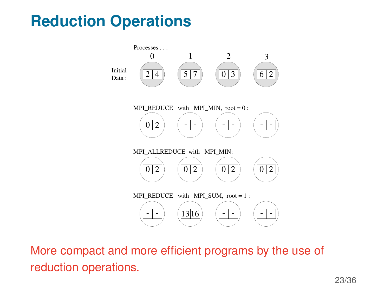# **Reduction Operations**



More compact and more efficient programs by the use of reduction operations.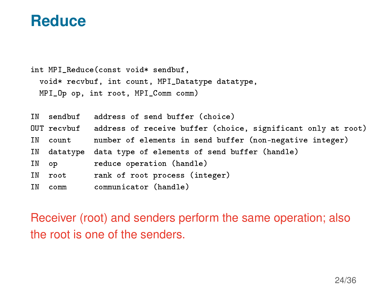#### **Reduce**

int MPI\_Reduce(const void\* sendbuf, void\* recvbuf, int count, MPI\_Datatype datatype, MPI\_Op op, int root, MPI\_Comm comm)

|          | IN sendbuf address of send buffer (choice)                               |
|----------|--------------------------------------------------------------------------|
|          | OUT recvbuf address of receive buffer (choice, significant only at root) |
| IN count | number of elements in send buffer (non-negative integer)                 |
|          | IN datatype data type of elements of send buffer (handle)                |
| IN op    | reduce operation (handle)                                                |
| IN root  | rank of root process (integer)                                           |
| IN comm  | communicator (handle)                                                    |

Receiver (root) and senders perform the same operation; also the root is one of the senders.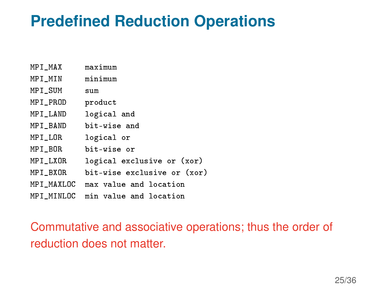## **Predefined Reduction Operations**

| MPI_MAX    | maximum                     |
|------------|-----------------------------|
| MPI_MIN    | minimum                     |
| MPI_SUM    | sum                         |
| MPI_PROD   | product                     |
| MPI_LAND   | logical and                 |
| MPI_BAND   | bit-wise and                |
| MPI_LOR    | logical or                  |
| MPI_BOR    | bit-wise or                 |
| MPI_LXOR   | logical exclusive or (xor)  |
| MPI BXOR   | bit-wise exclusive or (xor) |
| MPI_MAXLOC | max value and location      |
| MPI MINLOC | min value and location      |

Commutative and associative operations; thus the order of reduction does not matter.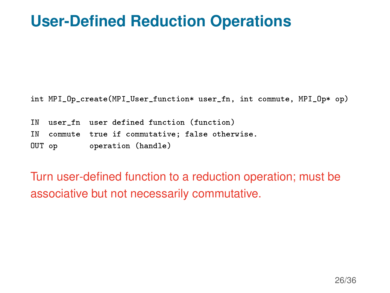## **User-Defined Reduction Operations**

int MPI\_Op\_create(MPI\_User\_function\* user\_fn, int commute, MPI\_Op\* op)

IN user fn user defined function (function) IN commute true if commutative; false otherwise. OUT op operation (handle)

Turn user-defined function to a reduction operation; must be associative but not necessarily commutative.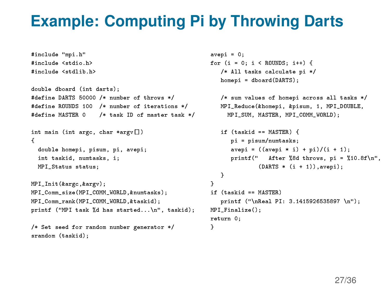## **Example: Computing Pi by Throwing Darts**

```
#include "mpi.h"
#include <stdio.h>
#include <stdlib.h>
double dboard (int darts);
#define DARTS 50000 /* number of throws */
#define ROUNDS 100 /* number of iterations */
#define MASTER 0 /* task ID of master task */
int main (int argc, char *argv[])
{
 double homepi, pisum, pi, avepi;
 int taskid, numtasks, i;
 MPI_Status status;
MPI_Init(&argc,&argv);
MPI_Comm_size(MPI_COMM_WORLD,&numtasks);
MPI_Comm_rank(MPI_COMM_WORLD,&taskid);
printf ("MPI task %d has started...\n", taskid);
/* Set seed for random number generator */
srandom (taskid);
                                                     avepi = 0;
                                                    for (i = 0; i < ROUNDS; i++) {
                                                        /* All tasks calculate pi */
                                                        homepi = dboard(DARTS);
                                                        /* sum values of homepi across all tasks */
                                                        MPI_Reduce(&homepi, &pisum, 1, MPI_DOUBLE,
                                                          MPI_SUM, MASTER, MPI_COMM_WORLD);
                                                        if (taskid == MASTER) {
                                                           pi = pisum/numtasks;
                                                           avepi = ((avepi * i) + pi)/(i + 1);
                                                           printf(" After %8d throws, pi = %10.8f\n",
                                                                   (DARTS * (i + 1)), avepi);
                                                        }
                                                     }
                                                    if (taskid == MASTER)
                                                        printf ("\nReal PI: 3.1415926535897 \n");
                                                    MPI_Finalize();
                                                    return 0;
                                                     }
```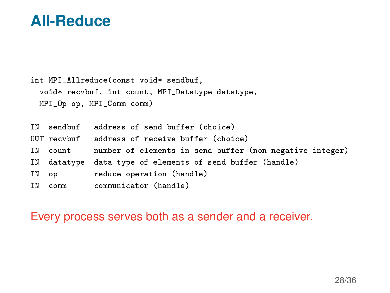#### **All-Reduce**

int MPI\_Allreduce(const void\* sendbuf, void\* recvbuf, int count, MPI\_Datatype datatype, MPI\_Op op, MPI\_Comm comm) IN sendbuf address of send buffer (choice) OUT recvbuf address of receive buffer (choice) IN count number of elements in send buffer (non-negative integer) IN datatype data type of elements of send buffer (handle) IN op reduce operation (handle) IN comm communicator (handle)

Every process serves both as a sender and a receiver.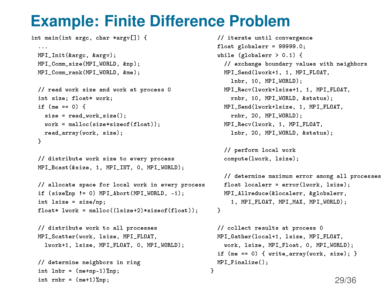## **Example: Finite Difference Problem**

int main(int argc, char \*argv[]) { ... MPI\_Init(&argc, &argv); MPI\_Comm\_size(MPI\_WORLD, &np); MPI\_Comm\_rank(MPI\_WORLD, &me); // read work size and work at process 0 int size; float\* work;

```
if (me == 0) {
  size = read_work_size();
  work = malloc(size*sizeof(float));
  read_array(work, size);
}
```

```
// distribute work size to every process
MPI_Bcast(&size, 1, MPI_INT, 0, MPI_WORLD);
```

```
// allocate space for local work in every process
if (size%np != 0) MPI_Abort(MPI_WORLD, -1);
int lsize = size/np;
float* lwork = malloc((lsize+2)*sizeof(float));
```

```
// distribute work to all processes
MPI_Scatter(work, lsize, MPI_FLOAT,
  lwork+1, lsize, MPI_FLOAT, 0, MPI_WORLD);
```

```
// determine neighbors in ring
int lnbr = (me+no-1) lnp;
int rnbr = (me+1) np;
```
// iterate until convergence float globalerr = 99999.0; while  $(g\text{lobaler } r > 0.1)$  { // exchange boundary values with neighbors MPI\_Send(lwork+1, 1, MPI\_FLOAT, lnbr, 10, MPI\_WORLD); MPI\_Recv(lwork+lsize+1, 1, MPI\_FLOAT, rnbr, 10, MPI\_WORLD, &status); MPI\_Send(lwork+lsize, 1, MPI\_FLOAT, rnbr, 20, MPI\_WORLD); MPI\_Recv(lwork, 1, MPI\_FLOAT, lnbr, 20, MPI\_WORLD, &status);

// perform local work compute(lwork, lsize);

}

```
// determine maximum error among all processes
 float localerr = error(lwork, lsize);
 MPI_Allreduce(&localerr, &globalerr,
    1, MPI_FLOAT, MPI_MAX, MPI_WORLD);
}
```

```
// collect results at process 0
MPI_Gather(local+1, lsize, MPI_FLOAT,
  work, lsize, MPI_Float, 0, MPI_WORLD);
if (me == 0) { write_array(work, size); }
MPI_Finalize();
```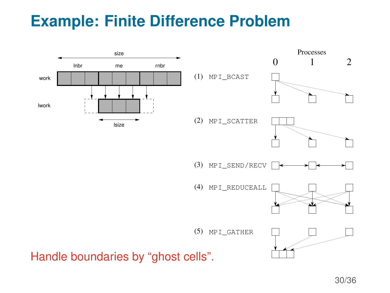# **Example: Finite Difference Problem**

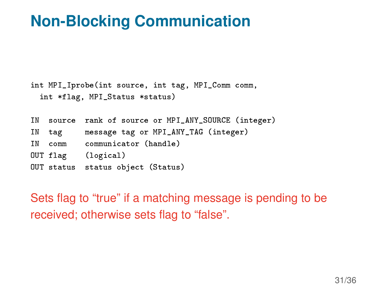## **Non-Blocking Communication**

```
int MPI_Iprobe(int source, int tag, MPI_Comm comm,
 int *flag, MPI_Status *status)
```

| IN |        | source rank of source or MPI_ANY_SOURCE (integer) |
|----|--------|---------------------------------------------------|
|    | IN tag | message tag or MPI_ANY_TAG (integer)              |
| ΙN | comm   | communicator (handle)                             |
|    |        | OUT flag (logical)                                |
|    |        | OUT status status object (Status)                 |

Sets flag to "true" if a matching message is pending to be received; otherwise sets flag to "false".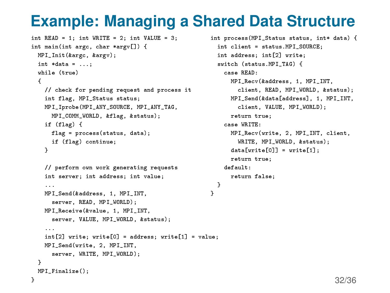## **Example: Managing a Shared Data Structure**

}

```
int READ = 1; int WRITE = 2; int VALUE = 3;
int main(int argc, char *argv[]) {
 MPI Init(&argc, &argy);
 int *data = ...;while (true)
 {
    // check for pending request and process it
    int flag, MPI_Status status;
    MPI_Iprobe(MPI_ANY_SOURCE, MPI_ANY_TAG,
     MPI_COMM_WORLD, &flag, &status);
   if (flag) {
     flag = process(status, data);
     if (flag) continue;
    }
    // perform own work generating requests
    int server; int address; int value;
    ...
    MPI_Send(&address, 1, MPI_INT,
     server, READ, MPI_WORLD);
    MPI_Receive(&value, 1, MPI_INT,
      server, VALUE, MPI_WORLD, &status);
    ...
    int[2] write; write[0] = address; write[1] = value;
    MPI_Send(write, 2, MPI_INT,
      server, WRITE, MPI_WORLD);
 }
 MPI Finalize():
}
```

```
int process(MPI_Status status, int* data) {
  int client = status.MPI_SOURCE;
  int address; int[2] write;
  switch (status.MPI_TAG) {
    case READ:
      MPI_Recv(&address, 1, MPI_INT,
        client, READ, MPI_WORLD, &status);
      MPI_Send(&data[address], 1, MPI_INT,
        client, VALUE, MPI_WORLD);
      return true;
    case WRITE:
      MPI_Recv(write, 2, MPI_INT, client,
        WRITE, MPI_WORLD, &status);
      data[write[0]] = write[1];return true;
    default:
      return false;
  }
```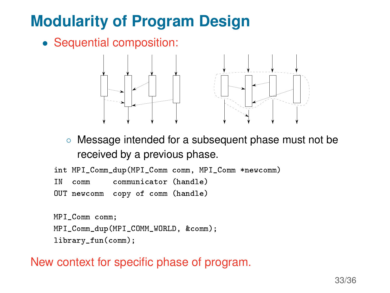# **Modularity of Program Design**

• Sequential composition:



◦ Message intended for a subsequent phase must not be received by a previous phase.

```
int MPI_Comm_dup(MPI_Comm comm, MPI_Comm *newcomm)
IN comm communicator (handle)
OUT newcomm copy of comm (handle)
```

```
MPI_Comm comm;
MPI_Comm_dup(MPI_COMM_WORLD, &comm);
library fun(comm);
```
New context for specific phase of program.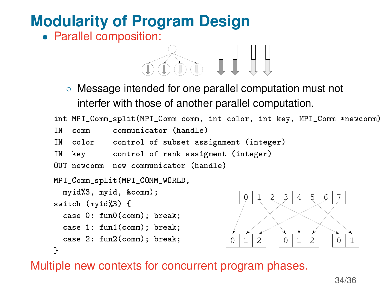# **Modularity of Program Design**

• Parallel composition:



◦ Message intended for one parallel computation must not interfer with those of another parallel computation.

```
int MPI Comm split(MPI Comm comm, int color, int key, MPI Comm *newcomm)
IN comm communicator (handle)
IN color control of subset assignment (integer)
IN key control of rank assigment (integer)
OUT newcomm new communicator (handle)
MPI_Comm_split(MPI_COMM_WORLD,
 myid%3, myid, &comm);
switch (myid%3) {
  case 0: fun0(comm); break;
  case 1: fun1(comm); break;
  case 2: fun2(comm); break;
}
                                         0 | 1 | 2 | 3 | 4 | 5 | 6 | 7 |0 |1 2 | 0 1 2 | 0 1
```
Multiple new contexts for concurrent program phases.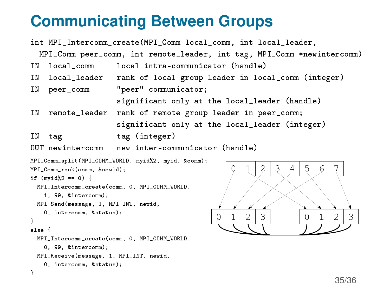## **Communicating Between Groups**

```
int MPI_Intercomm_create(MPI_Comm local_comm, int local_leader,
  MPI_Comm peer_comm, int remote_leader, int tag, MPI_Comm *newintercomm)
IN local_comm local intra-communicator (handle)
IN local_leader rank of local group leader in local_comm (integer)
IN peer_comm "peer" communicator;
                    significant only at the local_leader (handle)
IN remote_leader rank of remote group leader in peer_comm;
                     significant only at the local_leader (integer)
IN tag tag (integer)
OUT newintercomm new inter-communicator (handle)
MPI_Comm_split(MPI_COMM_WORLD, myid%2, myid, &comm);
MPI_Comm_rank(comm, &newid);
if (myid%2 == 0) {
 MPI_Intercomm_create(comm, 0, MPI_COMM_WORLD,
   1, 99, &intercomm);
 MPI_Send(message, 1, MPI_INT, newid,
   0, intercomm, &status);
}
else {
 MPI_Intercomm_create(comm, 0, MPI_COMM_WORLD,
   0, 99, &intercomm);
 MPI_Receive(message, 1, MPI_INT, newid,
   0, intercomm, &status);
}
                                             0 | 1 | 2 | 3 | 0 | 1 | 2 | 3 |0 | 1 | 2 | 3 | 4 | 5 | 6 | 7 |
```